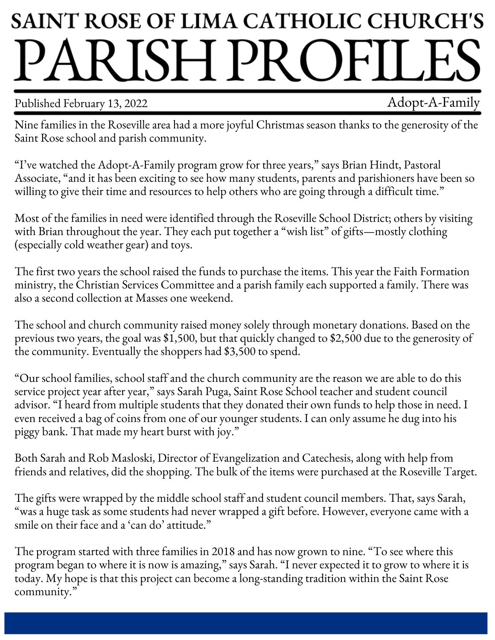## **SAINT ROSE OF LIMA CATHOLIC CHURCH'S** PARISH PROFILES

Published February 13, 2022 Adopt-A-Family

Nine families in the Roseville area had a more joyful Christmas season thanks to the generosity of the Saint Rose school and parish community.

"I've watched the Adopt-A-Family program grow for three years," says Brian Hindt, Pastoral Associate, "and it has been exciting to see how many students, parents and parishioners have been so willing to give their time and resources to help others who are going through a difficult time."

Most of the families in need were identified through the Roseville School District; others by visiting with Brian throughout the year. They each put together a "wish list" of gifts—mostly clothing (especially cold weather gear) and toys.

The first two years the school raised the funds to purchase the items. This year the Faith Formation ministry, the Christian Services Committee and a parish family each supported a family. There was also a second collection at Masses one weekend.

The school and church community raised money solely through monetary donations. Based on the previous two years, the goal was \$1,500, but that quickly changed to \$2,500 due to the generosity of the community. Eventually the shoppers had \$3,500 to spend.

"Our school families, school staff and the church community are the reason we are able to do this service project year after year," says Sarah Puga, Saint Rose School teacher and student council advisor. "I heard from multiple students that they donated their own funds to help those in need. I even received a bag of coins from one of our younger students. I can only assume he dug into his piggy bank. That made my heart burst with joy."

Both Sarah and Rob Masloski, Director of Evangelization and Catechesis, along with help from friends and relatives, did the shopping. The bulk of the items were purchased at the Roseville Target.

The gifts were wrapped by the middle school staff and student council members. That, says Sarah, "was a huge task as some students had never wrapped a gift before. However, everyone came with a smile on their face and a 'can do' attitude."

The program started with three families in 2018 and has now grown to nine. "To see where this program began to where it is now is amazing," says Sarah. "I never expected it to grow to where it is today. My hope is that this project can become a long-standing tradition within the Saint Rose community."